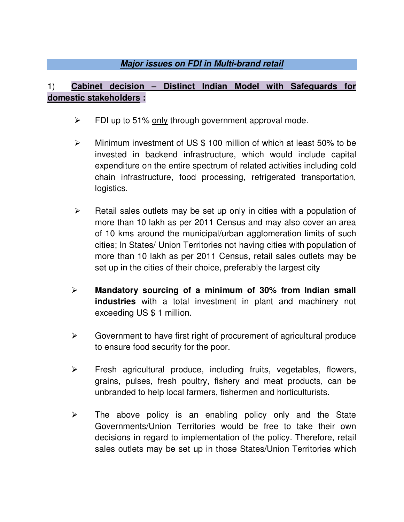## **Major issues on FDI in Multi-brand retail**

## 1) **Cabinet decision – Distinct Indian Model with Safeguards for domestic stakeholders :**

- $\triangleright$  FDI up to 51% only through government approval mode.
- Minimum investment of US \$ 100 million of which at least 50% to be invested in backend infrastructure, which would include capital expenditure on the entire spectrum of related activities including cold chain infrastructure, food processing, refrigerated transportation, logistics.
- $\triangleright$  Retail sales outlets may be set up only in cities with a population of more than 10 lakh as per 2011 Census and may also cover an area of 10 kms around the municipal/urban agglomeration limits of such cities; In States/ Union Territories not having cities with population of more than 10 lakh as per 2011 Census, retail sales outlets may be set up in the cities of their choice, preferably the largest city
- **Mandatory sourcing of a minimum of 30% from Indian small industries** with a total investment in plant and machinery not exceeding US \$ 1 million.
- $\triangleright$  Government to have first right of procurement of agricultural produce to ensure food security for the poor.
- $\triangleright$  Fresh agricultural produce, including fruits, vegetables, flowers, grains, pulses, fresh poultry, fishery and meat products, can be unbranded to help local farmers, fishermen and horticulturists.
- $\triangleright$  The above policy is an enabling policy only and the State Governments/Union Territories would be free to take their own decisions in regard to implementation of the policy. Therefore, retail sales outlets may be set up in those States/Union Territories which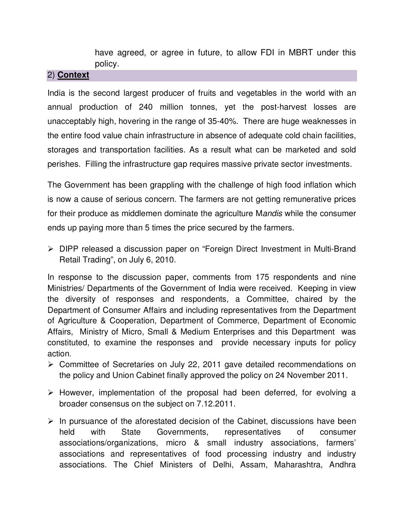have agreed, or agree in future, to allow FDI in MBRT under this policy.

#### 2) **Context**

India is the second largest producer of fruits and vegetables in the world with an annual production of 240 million tonnes, yet the post-harvest losses are unacceptably high, hovering in the range of 35-40%. There are huge weaknesses in the entire food value chain infrastructure in absence of adequate cold chain facilities, storages and transportation facilities. As a result what can be marketed and sold perishes. Filling the infrastructure gap requires massive private sector investments.

The Government has been grappling with the challenge of high food inflation which is now a cause of serious concern. The farmers are not getting remunerative prices for their produce as middlemen dominate the agriculture Mandis while the consumer ends up paying more than 5 times the price secured by the farmers.

 DIPP released a discussion paper on "Foreign Direct Investment in Multi-Brand Retail Trading", on July 6, 2010.

In response to the discussion paper, comments from 175 respondents and nine Ministries/ Departments of the Government of India were received. Keeping in view the diversity of responses and respondents, a Committee, chaired by the Department of Consumer Affairs and including representatives from the Department of Agriculture & Cooperation, Department of Commerce, Department of Economic Affairs, Ministry of Micro, Small & Medium Enterprises and this Department was constituted, to examine the responses and provide necessary inputs for policy action.

- Committee of Secretaries on July 22, 2011 gave detailed recommendations on the policy and Union Cabinet finally approved the policy on 24 November 2011.
- $\triangleright$  However, implementation of the proposal had been deferred, for evolving a broader consensus on the subject on 7.12.2011.
- $\triangleright$  In pursuance of the aforestated decision of the Cabinet, discussions have been held with State Governments, representatives of consumer associations/organizations, micro & small industry associations, farmers' associations and representatives of food processing industry and industry associations. The Chief Ministers of Delhi, Assam, Maharashtra, Andhra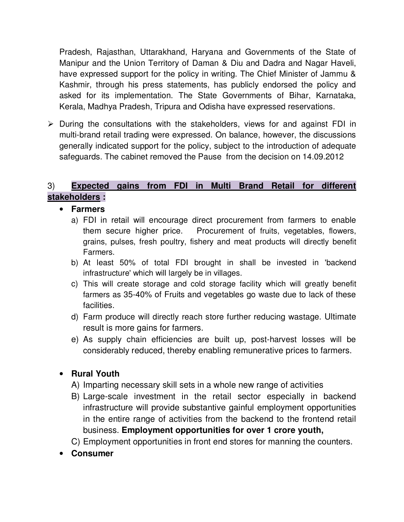Pradesh, Rajasthan, Uttarakhand, Haryana and Governments of the State of Manipur and the Union Territory of Daman & Diu and Dadra and Nagar Haveli, have expressed support for the policy in writing. The Chief Minister of Jammu & Kashmir, through his press statements, has publicly endorsed the policy and asked for its implementation. The State Governments of Bihar, Karnataka, Kerala, Madhya Pradesh, Tripura and Odisha have expressed reservations.

 $\triangleright$  During the consultations with the stakeholders, views for and against FDI in multi-brand retail trading were expressed. On balance, however, the discussions generally indicated support for the policy, subject to the introduction of adequate safeguards. The cabinet removed the Pause from the decision on 14.09.2012

## 3) **Expected gains from FDI in Multi Brand Retail for different stakeholders :**

• **Farmers**

- a) FDI in retail will encourage direct procurement from farmers to enable them secure higher price. Procurement of fruits, vegetables, flowers, grains, pulses, fresh poultry, fishery and meat products will directly benefit Farmers.
- b) At least 50% of total FDI brought in shall be invested in 'backend infrastructure' which will largely be in villages.
- c) This will create storage and cold storage facility which will greatly benefit farmers as 35-40% of Fruits and vegetables go waste due to lack of these facilities.
- d) Farm produce will directly reach store further reducing wastage. Ultimate result is more gains for farmers.
- e) As supply chain efficiencies are built up, post-harvest losses will be considerably reduced, thereby enabling remunerative prices to farmers.

## • **Rural Youth**

- A) Imparting necessary skill sets in a whole new range of activities
- B) Large-scale investment in the retail sector especially in backend infrastructure will provide substantive gainful employment opportunities in the entire range of activities from the backend to the frontend retail business. **Employment opportunities for over 1 crore youth,**
- C) Employment opportunities in front end stores for manning the counters.
- **Consumer**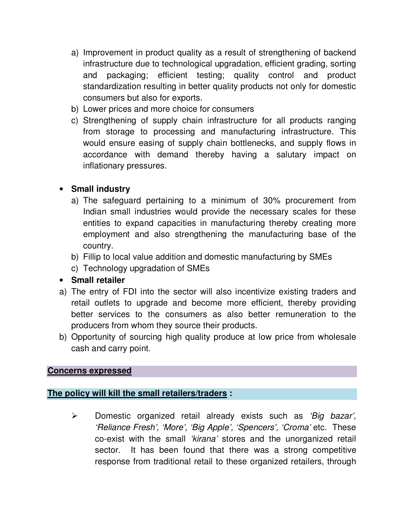- a) Improvement in product quality as a result of strengthening of backend infrastructure due to technological upgradation, efficient grading, sorting and packaging; efficient testing; quality control and product standardization resulting in better quality products not only for domestic consumers but also for exports.
- b) Lower prices and more choice for consumers
- c) Strengthening of supply chain infrastructure for all products ranging from storage to processing and manufacturing infrastructure. This would ensure easing of supply chain bottlenecks, and supply flows in accordance with demand thereby having a salutary impact on inflationary pressures.

## • **Small industry**

- a) The safeguard pertaining to a minimum of 30% procurement from Indian small industries would provide the necessary scales for these entities to expand capacities in manufacturing thereby creating more employment and also strengthening the manufacturing base of the country.
- b) Fillip to local value addition and domestic manufacturing by SMEs
- c) Technology upgradation of SMEs
- **Small retailer**
- a) The entry of FDI into the sector will also incentivize existing traders and retail outlets to upgrade and become more efficient, thereby providing better services to the consumers as also better remuneration to the producers from whom they source their products.
- b) Opportunity of sourcing high quality produce at low price from wholesale cash and carry point.

### **Concerns expressed**

### **The policy will kill the small retailers/traders :**

 $\triangleright$  Domestic organized retail already exists such as 'Big bazar', 'Reliance Fresh', 'More', 'Big Apple', 'Spencers', 'Croma' etc. These co-exist with the small 'kirana' stores and the unorganized retail sector. It has been found that there was a strong competitive response from traditional retail to these organized retailers, through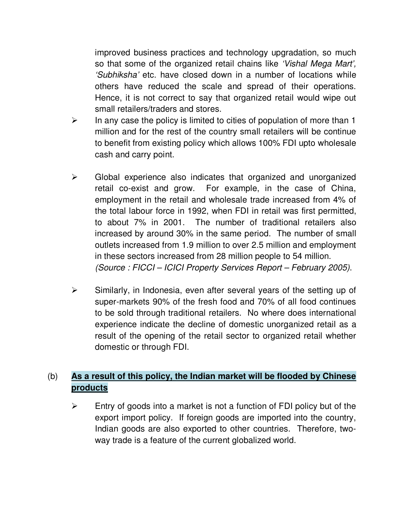improved business practices and technology upgradation, so much so that some of the organized retail chains like 'Vishal Mega Mart', 'Subhiksha' etc. have closed down in a number of locations while others have reduced the scale and spread of their operations. Hence, it is not correct to say that organized retail would wipe out small retailers/traders and stores.

- $\triangleright$  In any case the policy is limited to cities of population of more than 1 million and for the rest of the country small retailers will be continue to benefit from existing policy which allows 100% FDI upto wholesale cash and carry point.
- $\triangleright$  Global experience also indicates that organized and unorganized retail co-exist and grow. For example, in the case of China, employment in the retail and wholesale trade increased from 4% of the total labour force in 1992, when FDI in retail was first permitted, to about 7% in 2001. The number of traditional retailers also increased by around 30% in the same period. The number of small outlets increased from 1.9 million to over 2.5 million and employment in these sectors increased from 28 million people to 54 million. (Source : FICCI – ICICI Property Services Report – February 2005).
- $\triangleright$  Similarly, in Indonesia, even after several years of the setting up of super-markets 90% of the fresh food and 70% of all food continues to be sold through traditional retailers. No where does international experience indicate the decline of domestic unorganized retail as a result of the opening of the retail sector to organized retail whether domestic or through FDI.

# (b) **As a result of this policy, the Indian market will be flooded by Chinese products**

 $\triangleright$  Entry of goods into a market is not a function of FDI policy but of the export import policy. If foreign goods are imported into the country, Indian goods are also exported to other countries. Therefore, twoway trade is a feature of the current globalized world.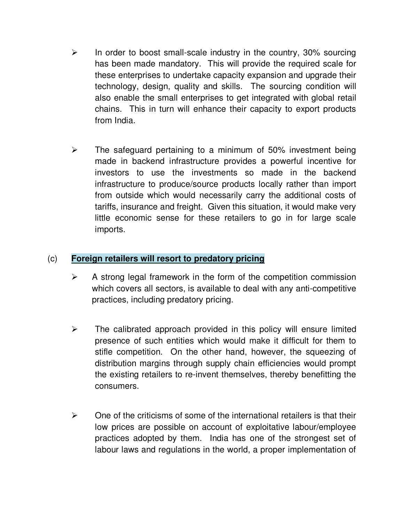- $\triangleright$  In order to boost small-scale industry in the country, 30% sourcing has been made mandatory. This will provide the required scale for these enterprises to undertake capacity expansion and upgrade their technology, design, quality and skills. The sourcing condition will also enable the small enterprises to get integrated with global retail chains. This in turn will enhance their capacity to export products from India.
- $\triangleright$  The safeguard pertaining to a minimum of 50% investment being made in backend infrastructure provides a powerful incentive for investors to use the investments so made in the backend infrastructure to produce/source products locally rather than import from outside which would necessarily carry the additional costs of tariffs, insurance and freight. Given this situation, it would make very little economic sense for these retailers to go in for large scale imports.

## (c) **Foreign retailers will resort to predatory pricing**

- $\triangleright$  A strong legal framework in the form of the competition commission which covers all sectors, is available to deal with any anti-competitive practices, including predatory pricing.
- $\triangleright$  The calibrated approach provided in this policy will ensure limited presence of such entities which would make it difficult for them to stifle competition. On the other hand, however, the squeezing of distribution margins through supply chain efficiencies would prompt the existing retailers to re-invent themselves, thereby benefitting the consumers.
- $\triangleright$  One of the criticisms of some of the international retailers is that their low prices are possible on account of exploitative labour/employee practices adopted by them. India has one of the strongest set of labour laws and regulations in the world, a proper implementation of